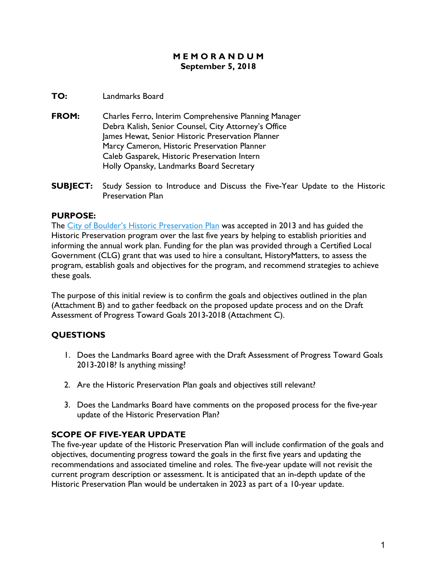#### **M E M O R A N D U M September 5, 2018**

#### **TO:** Landmarks Board

- **FROM:** Charles Ferro, Interim Comprehensive Planning Manager Debra Kalish, Senior Counsel, City Attorney's Office James Hewat, Senior Historic Preservation Planner Marcy Cameron, Historic Preservation Planner Caleb Gasparek, Historic Preservation Intern Holly Opansky, Landmarks Board Secretary
- **SUBJECT:** Study Session to Introduce and Discuss the Five-Year Update to the Historic Preservation Plan

## **PURPOSE:**

The [City of Boulder's Historic Preservation Plan](https://www-static.bouldercolorado.gov/docs/historic-preservation-plan-1-201311120831.pdf) was accepted in 2013 and has guided the Historic Preservation program over the last five years by helping to establish priorities and informing the annual work plan. Funding for the plan was provided through a Certified Local Government (CLG) grant that was used to hire a consultant, HistoryMatters, to assess the program, establish goals and objectives for the program, and recommend strategies to achieve these goals.

The purpose of this initial review is to confirm the goals and objectives outlined in the plan (Attachment B) and to gather feedback on the proposed update process and on the Draft Assessment of Progress Toward Goals 2013-2018 (Attachment C).

# **QUESTIONS**

- 1. Does the Landmarks Board agree with the Draft Assessment of Progress Toward Goals 2013-2018? Is anything missing?
- 2. Are the Historic Preservation Plan goals and objectives still relevant?
- 3. Does the Landmarks Board have comments on the proposed process for the five-year update of the Historic Preservation Plan?

## **SCOPE OF FIVE-YEAR UPDATE**

The five-year update of the Historic Preservation Plan will include confirmation of the goals and objectives, documenting progress toward the goals in the first five years and updating the recommendations and associated timeline and roles. The five-year update will not revisit the current program description or assessment. It is anticipated that an in-depth update of the Historic Preservation Plan would be undertaken in 2023 as part of a 10-year update.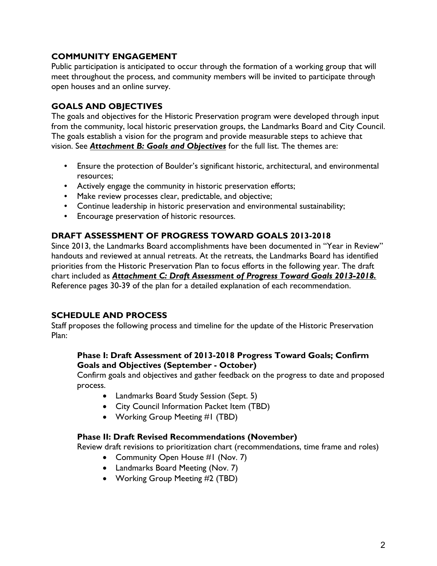## **COMMUNITY ENGAGEMENT**

Public participation is anticipated to occur through the formation of a working group that will meet throughout the process, and community members will be invited to participate through open houses and an online survey.

# **GOALS AND OBJECTIVES**

The goals and objectives for the Historic Preservation program were developed through input from the community, local historic preservation groups, the Landmarks Board and City Council. The goals establish a vision for the program and provide measurable steps to achieve that vision. See *Attachment B: Goals and Objectives* for the full list. The themes are:

- Ensure the protection of Boulder's significant historic, architectural, and environmental resources;
- Actively engage the community in historic preservation efforts;
- Make review processes clear, predictable, and objective;
- Continue leadership in historic preservation and environmental sustainability;
- Encourage preservation of historic resources.

## **DRAFT ASSESSMENT OF PROGRESS TOWARD GOALS 2013-2018**

Since 2013, the Landmarks Board accomplishments have been documented in "Year in Review" handouts and reviewed at annual retreats. At the retreats, the Landmarks Board has identified priorities from the Historic Preservation Plan to focus efforts in the following year. The draft chart included as *Attachment C: Draft Assessment of Progress Toward Goals 2013-2018.*  Reference pages 30-39 of the plan for a detailed explanation of each recommendation.

## **SCHEDULE AND PROCESS**

Staff proposes the following process and timeline for the update of the Historic Preservation Plan:

#### **Phase I: Draft Assessment of 2013-2018 Progress Toward Goals; Confirm Goals and Objectives (September - October)**

Confirm goals and objectives and gather feedback on the progress to date and proposed process.

- Landmarks Board Study Session (Sept. 5)
- City Council Information Packet Item (TBD)
- Working Group Meeting #1 (TBD)

#### **Phase II: Draft Revised Recommendations (November)**

Review draft revisions to prioritization chart (recommendations, time frame and roles)

- Community Open House #1 (Nov. 7)
- Landmarks Board Meeting (Nov. 7)
- Working Group Meeting #2 (TBD)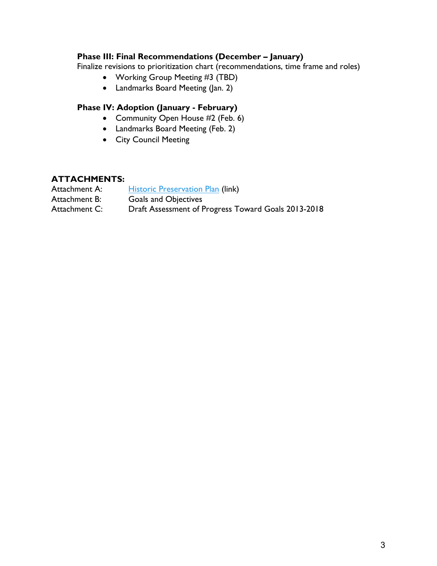# **Phase III: Final Recommendations (December – January)**

Finalize revisions to prioritization chart (recommendations, time frame and roles)

- Working Group Meeting #3 (TBD)
- Landmarks Board Meeting (Jan. 2)

# **Phase IV: Adoption (January - February)**

- Community Open House #2 (Feb. 6)
- Landmarks Board Meeting (Feb. 2)
- City Council Meeting

#### **ATTACHMENTS:**

| Attachment A: | <b>Historic Preservation Plan (link)</b>            |
|---------------|-----------------------------------------------------|
| Attachment B: | <b>Goals and Objectives</b>                         |
| Attachment C: | Draft Assessment of Progress Toward Goals 2013-2018 |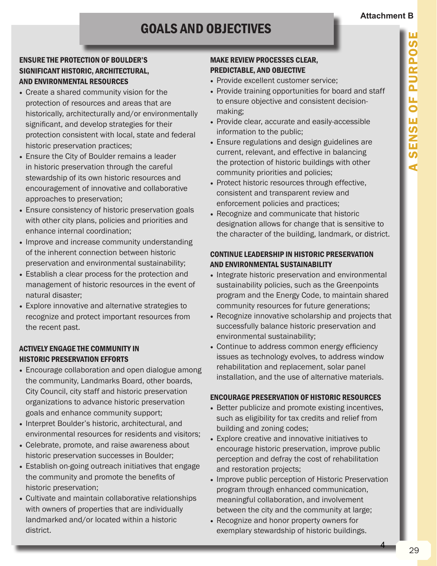# GOALS AND OBJECTIVES

## ENSURE THE PROTECTION OF BOULDER'S SIGNIFICANT HISTORIC, ARCHITECTURAL, AND ENVIRONMENTAL RESOURCES

- Create a shared community vision for the protection of resources and areas that are historically, architecturally and/or environmentally significant, and develop strategies for their protection consistent with local, state and federal historic preservation practices;
- Ensure the City of Boulder remains a leader in historic preservation through the careful stewardship of its own historic resources and encouragement of innovative and collaborative approaches to preservation;
- Ensure consistency of historic preservation goals with other city plans, policies and priorities and enhance internal coordination;
- Improve and increase community understanding of the inherent connection between historic preservation and environmental sustainability;
- Establish a clear process for the protection and management of historic resources in the event of natural disaster;
- Explore innovative and alternative strategies to recognize and protect important resources from the recent past.

## ACTIVELY ENGAGE THE COMMUNITY IN HISTORIC PRESERVATION EFFORTS

- Encourage collaboration and open dialogue among the community, Landmarks Board, other boards, City Council, city staff and historic preservation organizations to advance historic preservation goals and enhance community support;
- Interpret Boulder's historic, architectural, and environmental resources for residents and visitors;
- Celebrate, promote, and raise awareness about historic preservation successes in Boulder;
- Establish on-going outreach initiatives that engage the community and promote the benefits of historic preservation;
- Cultivate and maintain collaborative relationships with owners of properties that are individually landmarked and/or located within a historic district.

## MAKE REVIEW PROCESSES CLEAR, PREDICTABLE, AND OBJECTIVE

- Provide excellent customer service;
- Provide training opportunities for board and staff to ensure objective and consistent decisionmaking;
- Provide clear, accurate and easily-accessible information to the public;
- Ensure regulations and design guidelines are current, relevant, and effective in balancing the protection of historic buildings with other community priorities and policies;
- Protect historic resources through effective, consistent and transparent review and enforcement policies and practices;
- Recognize and communicate that historic designation allows for change that is sensitive to the character of the building, landmark, or district.

## CONTINUE LEADERSHIP IN HISTORIC PRESERVATION AND ENVIRONMENTAL SUSTAINABILITY

- Integrate historic preservation and environmental sustainability policies, such as the Greenpoints program and the Energy Code, to maintain shared community resources for future generations;
- Recognize innovative scholarship and projects that successfully balance historic preservation and environmental sustainability;
- Continue to address common energy efficiency issues as technology evolves, to address window rehabilitation and replacement, solar panel installation, and the use of alternative materials.

## ENCOURAGE PRESERVATION OF HISTORIC RESOURCES

- Better publicize and promote existing incentives, such as eligibility for tax credits and relief from building and zoning codes;
- Explore creative and innovative initiatives to encourage historic preservation, improve public perception and defray the cost of rehabilitation and restoration projects;
- Improve public perception of Historic Preservation program through enhanced communication, meaningful collaboration, and involvement between the city and the community at large;
- Recognize and honor property owners for exemplary stewardship of historic buildings.

4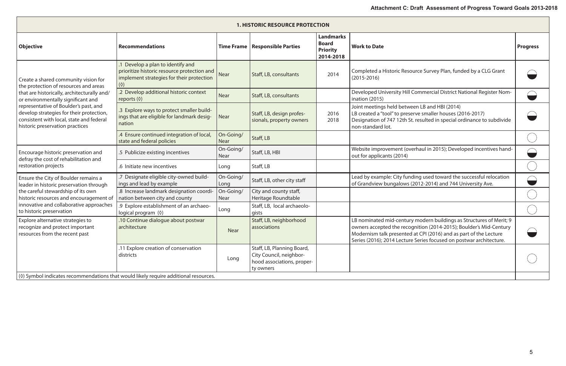| <b>1. HISTORIC RESOURCE PROTECTION</b>                                                                                                                                                                                                                                                                                                 |                                                                                                                                            |                          |                                                                                                  |                                                                  |                                                                                                                                                                                                                                                                                       |                 |
|----------------------------------------------------------------------------------------------------------------------------------------------------------------------------------------------------------------------------------------------------------------------------------------------------------------------------------------|--------------------------------------------------------------------------------------------------------------------------------------------|--------------------------|--------------------------------------------------------------------------------------------------|------------------------------------------------------------------|---------------------------------------------------------------------------------------------------------------------------------------------------------------------------------------------------------------------------------------------------------------------------------------|-----------------|
| <b>Objective</b>                                                                                                                                                                                                                                                                                                                       | <b>Recommendations</b>                                                                                                                     | <b>Time Frame</b>        | <b>Responsible Parties</b>                                                                       | <b>Landmarks</b><br><b>Board</b><br><b>Priority</b><br>2014-2018 | <b>Work to Date</b>                                                                                                                                                                                                                                                                   | <b>Progress</b> |
| Create a shared community vision for<br>the protection of resources and areas<br>that are historically, architecturally and/<br>or environmentally significant and<br>representative of Boulder's past, and<br>develop strategies for their protection,<br>consistent with local, state and federal<br>historic preservation practices | Develop a plan to identify and<br>prioritize historic resource protection and<br>implement strategies for their protection<br>$(\Diamond)$ | <b>Near</b>              | Staff, LB, consultants                                                                           | 2014                                                             | Completed a Historic Resource Survey Plan, funded by a CLG Grant<br>$(2015 - 2016)$                                                                                                                                                                                                   |                 |
|                                                                                                                                                                                                                                                                                                                                        | .2 Develop additional historic context<br>reports $(\Diamond)$                                                                             | <b>Near</b>              | Staff, LB, consultants                                                                           |                                                                  | Developed University Hill Commercial District National Register Nom-<br>ination (2015)                                                                                                                                                                                                |                 |
|                                                                                                                                                                                                                                                                                                                                        | .3 Explore ways to protect smaller build-<br>ings that are eligible for landmark desig-<br>nation                                          | <b>Near</b>              | Staff, LB, design profes-<br>sionals, property owners                                            | 2016<br>2018                                                     | Joint meetings held between LB and HBI (2014)<br>LB created a "tool" to preserve smaller houses (2016-2017)<br>Designation of 747 12th St. resulted in special ordinance to subdivide<br>non-standard lot.                                                                            |                 |
|                                                                                                                                                                                                                                                                                                                                        | .4 Ensure continued integration of local,<br>state and federal policies                                                                    | On-Going/<br><b>Near</b> | Staff, LB                                                                                        |                                                                  |                                                                                                                                                                                                                                                                                       |                 |
| Encourage historic preservation and<br>defray the cost of rehabilitation and<br>restoration projects                                                                                                                                                                                                                                   | .5 Publicize existing incentives                                                                                                           | On-Going/<br><b>Near</b> | Staff, LB, HBI                                                                                   |                                                                  | Website improvement (overhaul in 2015); Developed incentives hand-<br>out for applicants (2014)                                                                                                                                                                                       |                 |
|                                                                                                                                                                                                                                                                                                                                        | .6 Initiate new incentives                                                                                                                 | Long                     | Staff, LB                                                                                        |                                                                  |                                                                                                                                                                                                                                                                                       |                 |
| Ensure the City of Boulder remains a<br>leader in historic preservation through<br>the careful stewardship of its own<br>historic resources and encouragement of<br>innovative and collaborative approaches<br>to historic preservation                                                                                                | .7 Designate eligible city-owned build-<br>ings and lead by example                                                                        | On-Going/<br>Long        | Staff, LB, other city staff                                                                      |                                                                  | Lead by example: City funding used toward the successful relocation<br>of Grandview bungalows (2012-2014) and 744 University Ave.                                                                                                                                                     |                 |
|                                                                                                                                                                                                                                                                                                                                        | .8 Increase landmark designation coordi-<br>nation between city and county                                                                 | On-Going/<br><b>Near</b> | City and county staff,<br>Heritage Roundtable                                                    |                                                                  |                                                                                                                                                                                                                                                                                       |                 |
|                                                                                                                                                                                                                                                                                                                                        | .9 Explore establishment of an archaeo-<br>logical program (0)                                                                             | Long                     | Staff, LB, local archaeolo-<br>gists                                                             |                                                                  |                                                                                                                                                                                                                                                                                       |                 |
| Explore alternative strategies to<br>recognize and protect important<br>resources from the recent past                                                                                                                                                                                                                                 | .10 Continue dialogue about postwar<br>architecture                                                                                        | <b>Near</b>              | Staff, LB, neighborhood<br>associations                                                          |                                                                  | LB nominated mid-century modern buildings as Structures of Merit; 9<br>owners accepted the recognition (2014-2015); Boulder's Mid-Century<br>Modernism talk presented at CPI (2016) and as part of the Lecture<br>Series (2016); 2014 Lecture Series focused on postwar architecture. |                 |
|                                                                                                                                                                                                                                                                                                                                        | .11 Explore creation of conservation<br>districts                                                                                          | Long                     | Staff, LB, Planning Board,<br>City Council, neighbor-<br>hood associations, proper-<br>ty owners |                                                                  |                                                                                                                                                                                                                                                                                       |                 |
| $\vert$ (0) Symbol indicates recommendations that would likely require additional resources.                                                                                                                                                                                                                                           |                                                                                                                                            |                          |                                                                                                  |                                                                  |                                                                                                                                                                                                                                                                                       |                 |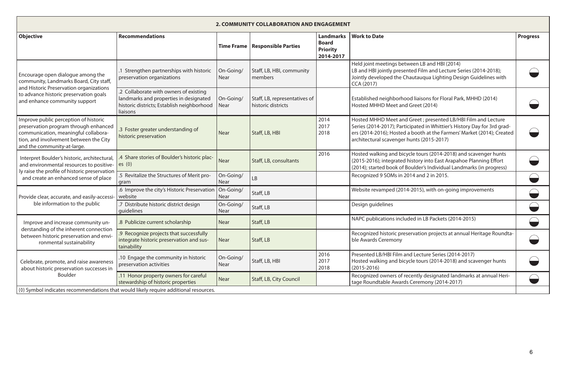| 2. COMMUNITY COLLABORATION AND ENGAGEMENT                                                                                                                                                          |                                                                                                                                            |                   |                                                     |                                                                  |                                                                                                                                                                                                                                                                   |                 |  |
|----------------------------------------------------------------------------------------------------------------------------------------------------------------------------------------------------|--------------------------------------------------------------------------------------------------------------------------------------------|-------------------|-----------------------------------------------------|------------------------------------------------------------------|-------------------------------------------------------------------------------------------------------------------------------------------------------------------------------------------------------------------------------------------------------------------|-----------------|--|
| <b>Objective</b>                                                                                                                                                                                   | <b>Recommendations</b>                                                                                                                     | <b>Time Frame</b> | <b>Responsible Parties</b>                          | <b>Landmarks</b><br><b>Board</b><br><b>Priority</b><br>2014-2017 | <b>Work to Date</b>                                                                                                                                                                                                                                               | <b>Progress</b> |  |
| Encourage open dialogue among the<br>community, Landmarks Board, City staff,<br>and Historic Preservation organizations<br>to advance historic preservation goals<br>and enhance community support | Strengthen partnerships with historic<br>preservation organizations                                                                        | On-Going/<br>Near | Staff, LB, HBI, community<br>members                |                                                                  | Held joint meetings between LB and HBI (2014)<br>LB and HBI jointly presented Film and Lecture Series (2014-2018);<br>Jointly developed the Chautauqua Lighting Design Guidelines with<br><b>CCA (2017)</b>                                                       |                 |  |
|                                                                                                                                                                                                    | .2 Collaborate with owners of existing<br>landmarks and properties in designated<br>historic districts; Establish neighborhood<br>liaisons | On-Going/<br>Near | Staff, LB, representatives of<br>historic districts |                                                                  | Established neighborhood liaisons for Floral Park, MHHD (2014)<br>Hosted MHHD Meet and Greet (2014)                                                                                                                                                               |                 |  |
| Improve public perception of historic<br>preservation program through enhanced<br>communication, meaningful collabora-<br>tion, and involvement between the City<br>and the community-at-large.    | .3 Foster greater understanding of<br>historic preservation                                                                                | Near              | Staff, LB, HBI                                      | 2014<br>2017<br>2018                                             | Hosted MHHD Meet and Greet ; presented LB/HBI Film and Lecture<br>Series (2014-2017); Participated in Whittier's History Day for 3rd grad-<br>ers (2014-2016); Hosted a booth at the Farmers' Market (2014); Created<br>architectural scavenger hunts (2015-2017) |                 |  |
| Interpret Boulder's historic, architectural,<br>and environmental resources to positive-<br>ly raise the profile of historic preservation<br>and create an enhanced sense of place                 | .4 Share stories of Boulder's historic plac-<br>es $(\Diamond)$                                                                            | <b>Near</b>       | Staff, LB, consultants                              | 2016                                                             | Hosted walking and bicycle tours (2014-2018) and scavenger hunts<br>(2015-2016); integrated history into East Arapahoe Planning Effort<br>(2014); started book of Boulder's Individual Landmarks (in progress)                                                    |                 |  |
|                                                                                                                                                                                                    | .5 Revitalize the Structures of Merit pro-<br>gram                                                                                         | On-Going/<br>Near | <b>LB</b>                                           |                                                                  | Recognized 9 SOMs in 2014 and 2 in 2015.                                                                                                                                                                                                                          |                 |  |
| Provide clear, accurate, and easily-accessi-<br>ble information to the public                                                                                                                      | 6.6 Improve the city's Historic Preservation<br>website                                                                                    | On-Going/<br>Near | Staff, LB                                           |                                                                  | Website revamped (2014-2015), with on-going improvements                                                                                                                                                                                                          |                 |  |
|                                                                                                                                                                                                    | .7 Distribute historic district design<br>quidelines                                                                                       | On-Going/<br>Near | Staff, LB                                           |                                                                  | Design guidelines                                                                                                                                                                                                                                                 |                 |  |
| Improve and increase community un-<br>derstanding of the inherent connection<br>between historic preservation and envi-<br>ronmental sustainability                                                | .8 Publicize current scholarship                                                                                                           | Near              | Staff, LB                                           |                                                                  | NAPC publications included in LB Packets (2014-2015)                                                                                                                                                                                                              |                 |  |
|                                                                                                                                                                                                    | .9 Recognize projects that successfully<br>integrate historic preservation and sus-<br>tainability                                         | <b>Near</b>       | Staff, LB                                           |                                                                  | Recognized historic preservation projects at annual Heritage Roundta-<br>ble Awards Ceremony                                                                                                                                                                      |                 |  |
| Celebrate, promote, and raise awareness<br>about historic preservation successes in<br>Boulder                                                                                                     | .10 Engage the community in historic<br>preservation activities                                                                            | On-Going/<br>Near | Staff, LB, HBI                                      | 2016<br>2017<br>2018                                             | Presented LB/HBI Film and Lecture Series (2014-2017)<br>Hosted walking and bicycle tours (2014-2018) and scavenger hunts<br>$(2015 - 2016)$                                                                                                                       |                 |  |
|                                                                                                                                                                                                    | .11 Honor property owners for careful<br>stewardship of historic properties                                                                | <b>Near</b>       | Staff, LB, City Council                             |                                                                  | Recognized owners of recently designated landmarks at annual Heri-<br>tage Roundtable Awards Ceremony (2014-2017)                                                                                                                                                 |                 |  |
| (0) Symbol indicates recommendations that would likely require additional resources.                                                                                                               |                                                                                                                                            |                   |                                                     |                                                                  |                                                                                                                                                                                                                                                                   |                 |  |